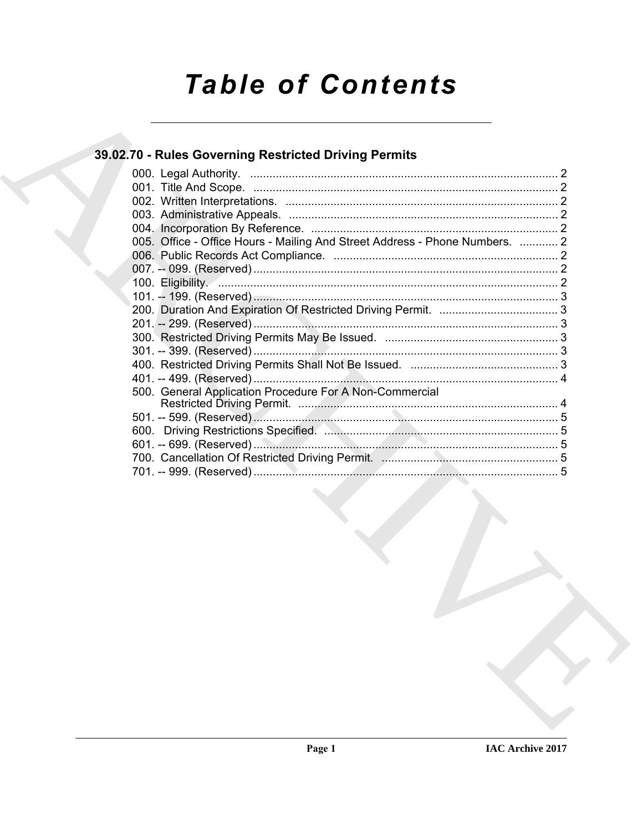# **Table of Contents**

### 39.02.70 - Rules Governing Restricted Driving Permits

| 005. Office - Office Hours - Mailing And Street Address - Phone Numbers.  2 |  |
|-----------------------------------------------------------------------------|--|
|                                                                             |  |
|                                                                             |  |
|                                                                             |  |
|                                                                             |  |
|                                                                             |  |
|                                                                             |  |
|                                                                             |  |
|                                                                             |  |
|                                                                             |  |
|                                                                             |  |
| 500. General Application Procedure For A Non-Commercial                     |  |
|                                                                             |  |
|                                                                             |  |
|                                                                             |  |
|                                                                             |  |
|                                                                             |  |
|                                                                             |  |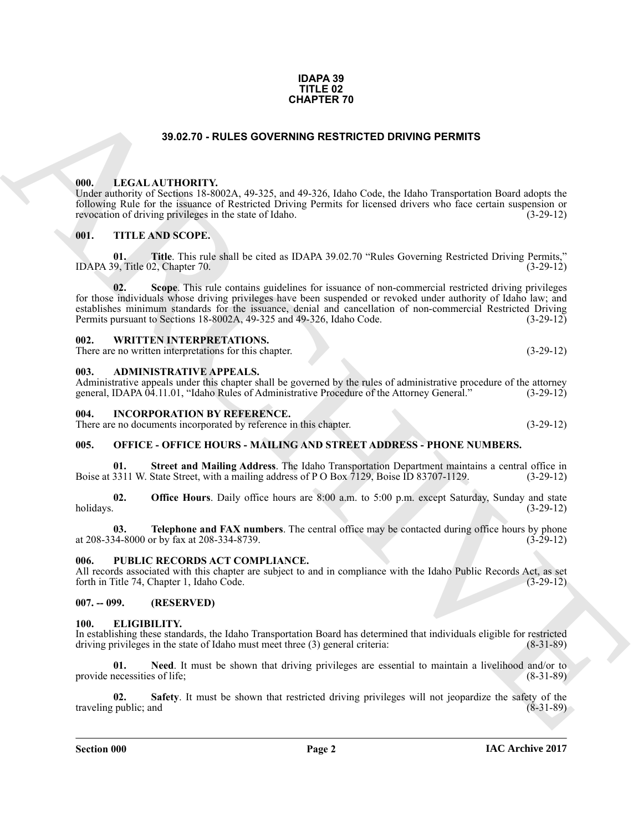#### **IDAPA 39 TITLE 02 CHAPTER 70**

#### **39.02.70 - RULES GOVERNING RESTRICTED DRIVING PERMITS**

#### <span id="page-1-1"></span><span id="page-1-0"></span>**000. LEGAL AUTHORITY.**

Under authority of Sections 18-8002A, 49-325, and 49-326, Idaho Code, the Idaho Transportation Board adopts the following Rule for the issuance of Restricted Driving Permits for licensed drivers who face certain suspension or revocation of driving privileges in the state of Idaho.

#### <span id="page-1-2"></span>**001. TITLE AND SCOPE.**

**01. Title**. This rule shall be cited as IDAPA 39.02.70 "Rules Governing Restricted Driving Permits," (9. Title 02, Chapter 70. IDAPA 39, Title 02, Chapter 70.

**33.02.70 - RULES OVERNING RESTRICTED DRIVING PERMITS<br>
1916.** LEGAL AVITIONITY 1925, 1925 and 49 35 Maha Code. the finite Transportation Donal degree for the control of the second of the property of the control of the sec **Scope**. This rule contains guidelines for issuance of non-commercial restricted driving privileges for those individuals whose driving privileges have been suspended or revoked under authority of Idaho law; and establishes minimum standards for the issuance, denial and cancellation of non-commercial Restricted Driving<br>Permits pursuant to Sections 18-8002A, 49-325 and 49-326. Idaho Code. (3-29-12) Permits pursuant to Sections 18-8002A, 49-325 and 49-326, Idaho Code.

#### <span id="page-1-3"></span>**002. WRITTEN INTERPRETATIONS.**

There are no written interpretations for this chapter. (3-29-12)

#### <span id="page-1-4"></span>**003. ADMINISTRATIVE APPEALS.**

Administrative appeals under this chapter shall be governed by the rules of administrative procedure of the attorney general, IDAPA 04.11.01, "Idaho Rules of Administrative Procedure of the Attorney General." (3-29-12) general, IDAPA 04.11.01, "Idaho Rules of Administrative Procedure of the Attorney General."

#### <span id="page-1-5"></span>**004. INCORPORATION BY REFERENCE.**

There are no documents incorporated by reference in this chapter. (3-29-12)

#### <span id="page-1-6"></span>**005. OFFICE - OFFICE HOURS - MAILING AND STREET ADDRESS - PHONE NUMBERS.**

**01.** Street and Mailing Address. The Idaho Transportation Department maintains a central office in 3311 W. State Street, with a mailing address of P O Box 7129, Boise ID 83707-1129. (3-29-12) Boise at 3311 W. State Street, with a mailing address of P O Box 7129, Boise ID 83707-1129.

**02. Office Hours**. Daily office hours are 8:00 a.m. to 5:00 p.m. except Saturday, Sunday and state holidays. (3-29-12) holidays. (3-29-12)

**03. Telephone and FAX numbers**. The central office may be contacted during office hours by phone  $34-8000$  or by fax at 208-334-8739. at 208-334-8000 or by fax at 208-334-8739.

#### <span id="page-1-7"></span>**006. PUBLIC RECORDS ACT COMPLIANCE.**

All records associated with this chapter are subject to and in compliance with the Idaho Public Records Act, as set forth in Title 74, Chapter 1, Idaho Code. (3-29-12) forth in Title 74, Chapter 1, Idaho Code.

<span id="page-1-8"></span>**007. -- 099. (RESERVED)**

#### <span id="page-1-10"></span><span id="page-1-9"></span>**100. ELIGIBILITY.**

In establishing these standards, the Idaho Transportation Board has determined that individuals eligible for restricted driving privileges in the state of Idaho must meet three (3) general criteria: (8-31-89) driving privileges in the state of Idaho must meet three  $(3)$  general criteria:

<span id="page-1-11"></span>**01.** Need. It must be shown that driving privileges are essential to maintain a livelihood and/or to necessities of life; (8-31-89) provide necessities of life;

<span id="page-1-12"></span>**02.** Safety. It must be shown that restricted driving privileges will not jeopardize the safety of the (public; and (8-31-89) traveling public; and

**Section 000 Page 2**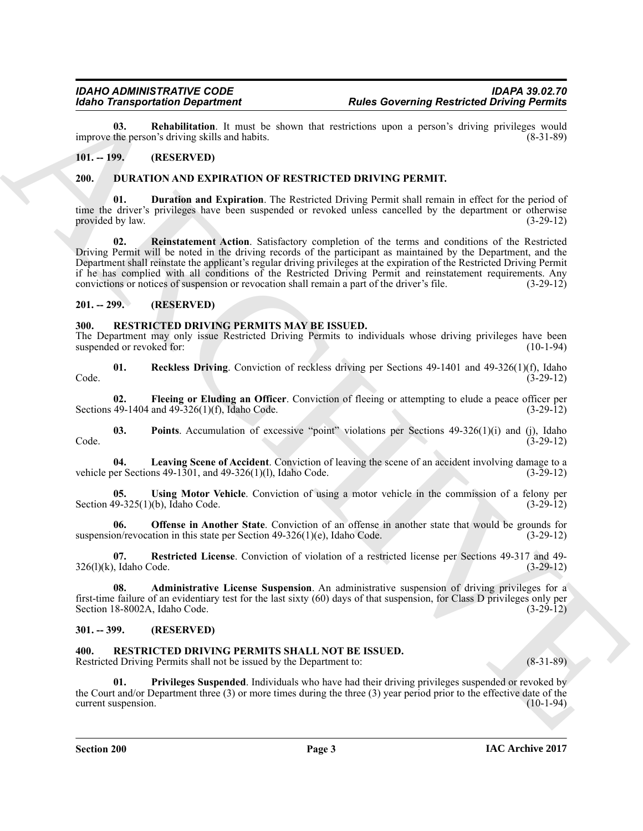<span id="page-2-9"></span>**03. Rehabilitation**. It must be shown that restrictions upon a person's driving privileges would the person's driving skills and habits. (8-31-89) improve the person's driving skills and habits.

#### <span id="page-2-6"></span><span id="page-2-0"></span>**101. -- 199. (RESERVED)**

#### <span id="page-2-1"></span>**200. DURATION AND EXPIRATION OF RESTRICTED DRIVING PERMIT.**

<span id="page-2-8"></span><span id="page-2-7"></span>**Duration and Expiration**. The Restricted Driving Permit shall remain in effect for the period of time the driver's privileges have been suspended or revoked unless cancelled by the department or otherwise provided by law.  $(3-29-12)$ 

**Roles Transportation Department 19. Roles Governing Restricted Environment 19. Roles Controlling Controlling Controlling Controlling Controlling Controlling Controlling Controlling Controlling Controlling Controlling 02. Reinstatement Action**. Satisfactory completion of the terms and conditions of the Restricted Driving Permit will be noted in the driving records of the participant as maintained by the Department, and the Department shall reinstate the applicant's regular driving privileges at the expiration of the Restricted Driving Permit if he has complied with all conditions of the Restricted Driving Permit and reinstatement requirements. Any convictions or notices of suspension or revocation shall remain a part of the driver's file. (3-29-12)

#### <span id="page-2-2"></span>**201. -- 299. (RESERVED)**

#### <span id="page-2-10"></span><span id="page-2-3"></span>**300. RESTRICTED DRIVING PERMITS MAY BE ISSUED.**

The Department may only issue Restricted Driving Permits to individuals whose driving privileges have been suspended or revoked for: (10-1-94) suspended or revoked for:

<span id="page-2-16"></span>**01. Reckless Driving**. Conviction of reckless driving per Sections 49-1401 and 49-326(1)(f), Idaho Code. (3-29-12)

<span id="page-2-12"></span>**02. Fleeing or Eluding an Officer**. Conviction of fleeing or attempting to elude a peace officer per 49-1404 and 49-326(1)(f), Idaho Code. (3-29-12) Sections 49-1404 and 49-326(1)(f), Idaho Code.

<span id="page-2-15"></span>**03.** Points. Accumulation of excessive "point" violations per Sections 49-326(1)(i) and (j), Idaho (3-29-12) Code. (3-29-12)

<span id="page-2-13"></span>**04. Leaving Scene of Accident**. Conviction of leaving the scene of an accident involving damage to a vehicle per Sections 49-1301, and 49-326(1)(l), Idaho Code.  $(3-29-12)$ 

<span id="page-2-18"></span>**05.** Using Motor Vehicle. Conviction of using a motor vehicle in the commission of a felony per (9-325(1)(b). Idaho Code. (9-325(1) Section  $49-325(1)(b)$ , Idaho Code.

<span id="page-2-14"></span>**06. Offense in Another State**. Conviction of an offense in another state that would be grounds for on/revocation in this state per Section 49-326(1)(e), Idaho Code. (3-29-12) suspension/revocation in this state per Section  $49-326(1)(e)$ , Idaho Code.

<span id="page-2-17"></span>**07. Restricted License**. Conviction of violation of a restricted license per Sections 49-317 and 49-  $326(1)(k)$ , Idaho Code. (3-29-12)

<span id="page-2-11"></span>**08. Administrative License Suspension**. An administrative suspension of driving privileges for a first-time failure of an evidentiary test for the last sixty (60) days of that suspension, for Class D privileges only per Section 18-8002A, Idaho Code.

#### <span id="page-2-4"></span>**301. -- 399. (RESERVED)**

#### <span id="page-2-19"></span><span id="page-2-5"></span>**400. RESTRICTED DRIVING PERMITS SHALL NOT BE ISSUED.**

Restricted Driving Permits shall not be issued by the Department to: (8-31-89)

<span id="page-2-20"></span>**01. Privileges Suspended**. Individuals who have had their driving privileges suspended or revoked by the Court and/or Department three (3) or more times during the three (3) year period prior to the effective date of the current suspension. (10-1-94) current suspension.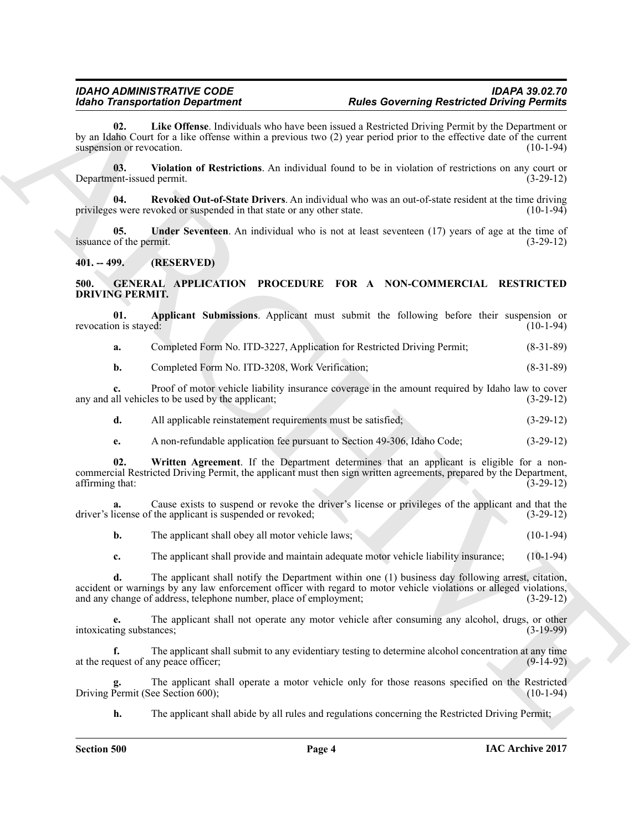### *IDAHO ADMINISTRATIVE CODE IDAPA 39.02.70*

<span id="page-3-5"></span>**02. Like Offense**. Individuals who have been issued a Restricted Driving Permit by the Department or by an Idaho Court for a like offense within a previous two (2) year period prior to the effective date of the current suspension or revocation.

<span id="page-3-8"></span>**03.** Violation of Restrictions. An individual found to be in violation of restrictions on any court or ent-issued permit. (3-29-12) Department-issued permit.

<span id="page-3-6"></span>**04.** Revoked Out-of-State Drivers. An individual who was an out-of-state resident at the time driving s were revoked or suspended in that state or any other state. (10-1-94) privileges were revoked or suspended in that state or any other state.

<span id="page-3-7"></span>**05.** Under Seventeen. An individual who is not at least seventeen (17) years of age at the time of of the permit. (3-29-12) issuance of the permit.

<span id="page-3-0"></span>**401. -- 499. (RESERVED)**

<span id="page-3-2"></span><span id="page-3-1"></span>**500. GENERAL APPLICATION PROCEDURE FOR A NON-COMMERCIAL RESTRICTED DRIVING PERMIT.**

|                       |  |  |  |  | Applicant Submissions. Applicant must submit the following before their suspension or |
|-----------------------|--|--|--|--|---------------------------------------------------------------------------------------|
| revocation is stayed: |  |  |  |  | $(10-1-94)$                                                                           |

<span id="page-3-3"></span>**a.** Completed Form No. ITD-3227, Application for Restricted Driving Permit; (8-31-89)

**b.** Completed Form No. ITD-3208, Work Verification; (8-31-89)

**c.** Proof of motor vehicle liability insurance coverage in the amount required by Idaho law to cover all vehicles to be used by the applicant; (3-29-12) any and all vehicles to be used by the applicant;

**d.** All applicable reinstatement requirements must be satisfied; (3-29-12)

<span id="page-3-4"></span>**e.** A non-refundable application fee pursuant to Section 49-306, Idaho Code;  $(3-29-12)$ 

**02. Written Agreement**. If the Department determines that an applicant is eligible for a noncommercial Restricted Driving Permit, the applicant must then sign written agreements, prepared by the Department, affirming that:

**a.** Cause exists to suspend or revoke the driver's license or privileges of the applicant and that the icense of the applicant is suspended or revoked;  $(3-29-12)$ driver's license of the applicant is suspended or revoked;

**b.** The applicant shall obey all motor vehicle laws; (10-1-94)

**c.** The applicant shall provide and maintain adequate motor vehicle liability insurance; (10-1-94)

**Example of the System of Handre Controlling and the System of the System of the System of the System of the System of the System of the System of the System of the System of the System of the System of the System of the d.** The applicant shall notify the Department within one (1) business day following arrest, citation, accident or warnings by any law enforcement officer with regard to motor vehicle violations or alleged violations, and any change of address, telephone number, place of employment; (3-29-12) and any change of address, telephone number, place of employment;

The applicant shall not operate any motor vehicle after consuming any alcohol, drugs, or other ances;<br>(3-19-99) intoxicating substances;

**f.** The applicant shall submit to any evidentiary testing to determine alcohol concentration at any time at the request of any peace officer; (9-14-92)

The applicant shall operate a motor vehicle only for those reasons specified on the Restricted ee Section 600); (10-1-94) Driving Permit (See Section 600);

**h.** The applicant shall abide by all rules and regulations concerning the Restricted Driving Permit;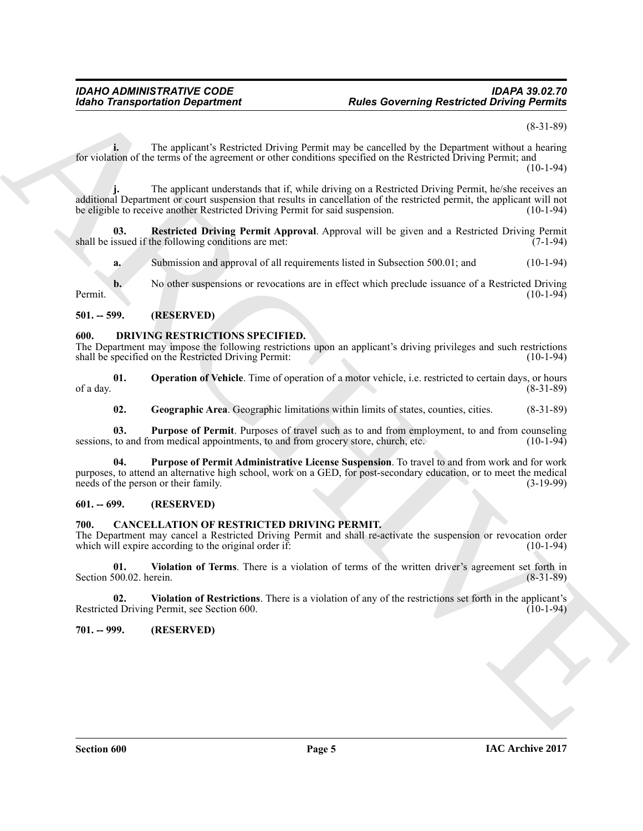(8-31-89)

**i.** The applicant's Restricted Driving Permit may be cancelled by the Department without a hearing for violation of the terms of the agreement or other conditions specified on the Restricted Driving Permit; and  $(10-1-94)$ 

Rocks Transportation Department<br>
The applicants Restricted Universe terms are presented by the Department from Farming Restricted Universe profits<br>
EV versions when the applicant about about about the contribute the first The applicant understands that if, while driving on a Restricted Driving Permit, he/she receives an additional Department or court suspension that results in cancellation of the restricted permit, the applicant will not be eligible to receive another Restricted Driving Permit for said suspension. (10-1-94)

**03.** Restricted Driving Permit Approval. Approval will be given and a Restricted Driving Permit ssued if the following conditions are met: (7-1-94) shall be issued if the following conditions are met:

<span id="page-4-13"></span>**a.** Submission and approval of all requirements listed in Subsection 500.01; and (10-1-94)

**b.** No other suspensions or revocations are in effect which preclude issuance of a Restricted Driving (10-1-94) Permit. (10-1-94)

<span id="page-4-0"></span>**501. -- 599. (RESERVED)**

#### <span id="page-4-8"></span><span id="page-4-1"></span>**600. DRIVING RESTRICTIONS SPECIFIED.**

The Department may impose the following restrictions upon an applicant's driving privileges and such restrictions shall be specified on the Restricted Driving Permit: (10-1-94) shall be specified on the Restricted Driving Permit:

**01. Operation of Vehicle**. Time of operation of a motor vehicle, i.e. restricted to certain days, or hours (8-31-89) of a day.  $(8-31-89)$ 

<span id="page-4-12"></span><span id="page-4-11"></span><span id="page-4-10"></span><span id="page-4-9"></span>**02. Geographic Area**. Geographic limitations within limits of states, counties, cities. (8-31-89)

**03.** Purpose of Permit. Purposes of travel such as to and from employment, to and from counseling to and from medical appointments, to and from grocery store, church, etc. (10-1-94) sessions, to and from medical appointments, to and from grocery store, church, etc.

**04. Purpose of Permit Administrative License Suspension**. To travel to and from work and for work purposes, to attend an alternative high school, work on a GED, for post-secondary education, or to meet the medical needs of the person or their family. (3-19-99) needs of the person or their family.

#### <span id="page-4-2"></span>**601. -- 699. (RESERVED)**

#### <span id="page-4-5"></span><span id="page-4-3"></span>**700. CANCELLATION OF RESTRICTED DRIVING PERMIT.**

The Department may cancel a Restricted Driving Permit and shall re-activate the suspension or revocation order<br>which will expire according to the original order if: which will expire according to the original order  $\overline{1f}$ :

<span id="page-4-7"></span>**01. Violation of Terms**. There is a violation of terms of the written driver's agreement set forth in Section 500.02. herein.

<span id="page-4-6"></span>**02. Violation of Restrictions**. There is a violation of any of the restrictions set forth in the applicant's Restricted Driving Permit, see Section 600.

#### <span id="page-4-4"></span>**701. -- 999. (RESERVED)**